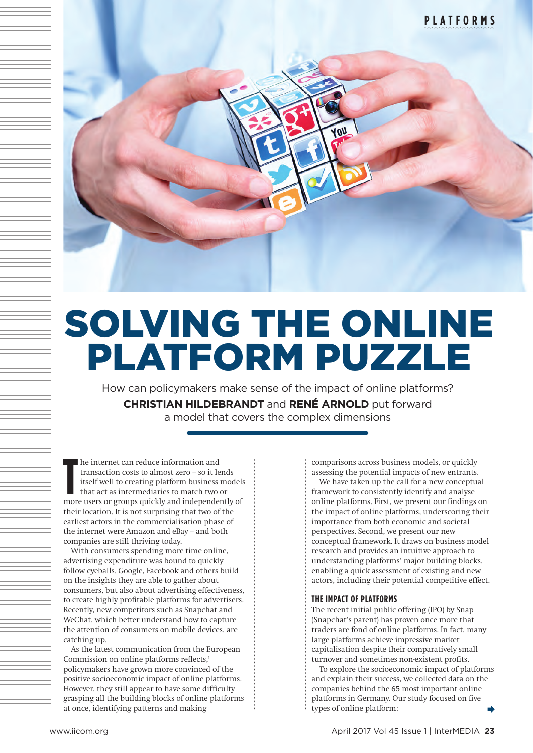

# SOLVING THE ONLINE PLATFORM PUZZLE

How can policymakers make sense of the impact of online platforms? **CHRISTIAN HILDEBRANDT** and **RENÉ ARNOLD** put forward a model that covers the complex dimensions

**T** he internet can reduce information and transaction costs to almost zero – so it lends itself well to creating platform business models that act as intermediaries to match two or more users or groups quickly and independently of their location. It is not surprising that two of the earliest actors in the commercialisation phase of the internet were Amazon and eBay – and both companies are still thriving today.

With consumers spending more time online, advertising expenditure was bound to quickly follow eyeballs. Google, Facebook and others build on the insights they are able to gather about consumers, but also about advertising effectiveness, to create highly profitable platforms for advertisers. Recently, new competitors such as Snapchat and WeChat, which better understand how to capture the attention of consumers on mobile devices, are catching up.

As the latest communication from the European Commission on online platforms reflects,<sup>1</sup> policymakers have grown more convinced of the positive socioeconomic impact of online platforms. However, they still appear to have some difficulty grasping all the building blocks of online platforms at once, identifying patterns and making

comparisons across business models, or quickly assessing the potential impacts of new entrants.

We have taken up the call for a new conceptual framework to consistently identify and analyse online platforms. First, we present our findings on the impact of online platforms, underscoring their importance from both economic and societal perspectives. Second, we present our new conceptual framework. It draws on business model research and provides an intuitive approach to understanding platforms' major building blocks, enabling a quick assessment of existing and new actors, including their potential competitive effect.

# **THE IMPACT OF PLATFORMS**

The recent initial public offering (IPO) by Snap (Snapchat's parent) has proven once more that traders are fond of online platforms. In fact, many large platforms achieve impressive market capitalisation despite their comparatively small turnover and sometimes non-existent profits.

To explore the socioeconomic impact of platforms and explain their success, we collected data on the companies behind the 65 most important online platforms in Germany. Our study focused on five types of online platform: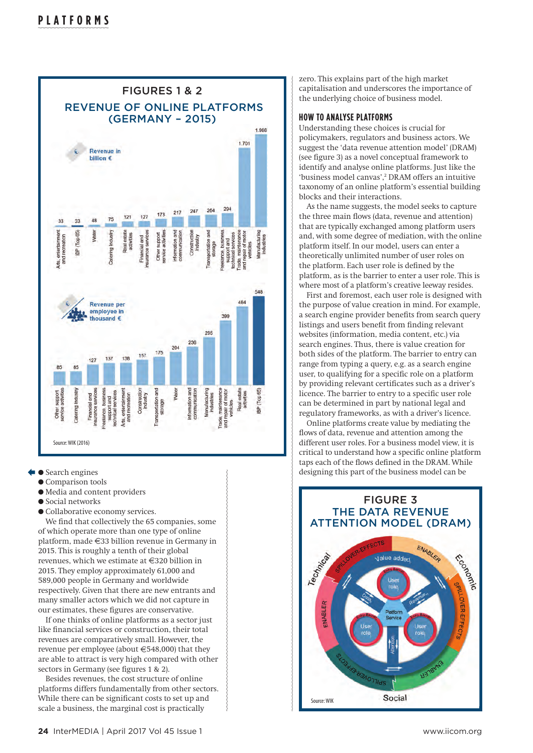

- $\bullet$  Search engines
	- $\bullet$  Comparison tools
	- $\bullet$  Media and content providers
	- $\bullet$  Social networks
	- $\bullet$  Collaborative economy services.

We find that collectively the 65 companies, some of which operate more than one type of online platform, made  $\in$ 33 billion revenue in Germany in 2015. This is roughly a tenth of their global revenues, which we estimate at  $\in$ 320 billion in 2015. They employ approximately 61,000 and 589,000 people in Germany and worldwide respectively. Given that there are new entrants and many smaller actors which we did not capture in our estimates, these figures are conservative.

If one thinks of online platforms as a sector just like financial services or construction, their total revenues are comparatively small. However, the revenue per employee (about  $\in$  548,000) that they are able to attract is very high compared with other sectors in Germany (see figures 1 & 2).

Besides revenues, the cost structure of online platforms differs fundamentally from other sectors. While there can be significant costs to set up and scale a business, the marginal cost is practically

zero. This explains part of the high market capitalisation and underscores the importance of the underlying choice of business model.

#### **HOW TO ANALYSE PLATFORMS**

Understanding these choices is crucial for policymakers, regulators and business actors. We suggest the 'data revenue attention model' (DRAM) (see figure 3) as a novel conceptual framework to identify and analyse online platforms. Just like the 'business model canvas',<sup>2</sup> DRAM offers an intuitive taxonomy of an online platform's essential building blocks and their interactions.

As the name suggests, the model seeks to capture the three main flows (data, revenue and attention) that are typically exchanged among platform users and, with some degree of mediation, with the online platform itself. In our model, users can enter a theoretically unlimited number of user roles on the platform. Each user role is defined by the platform, as is the barrier to enter a user role. This is where most of a platform's creative leeway resides.

First and foremost, each user role is designed with the purpose of value creation in mind. For example, a search engine provider benefits from search query listings and users benefit from finding relevant websites (information, media content, etc.) via search engines. Thus, there is value creation for both sides of the platform. The barrier to entry can range from typing a query, e.g. as a search engine user, to qualifying for a specific role on a platform by providing relevant certificates such as a driver's licence. The barrier to entry to a specific user role can be determined in part by national legal and regulatory frameworks, as with a driver's licence.

Online platforms create value by mediating the flows of data, revenue and attention among the different user roles. For a business model view, it is critical to understand how a specific online platform taps each of the flows defined in the DRAM. While designing this part of the business model can be

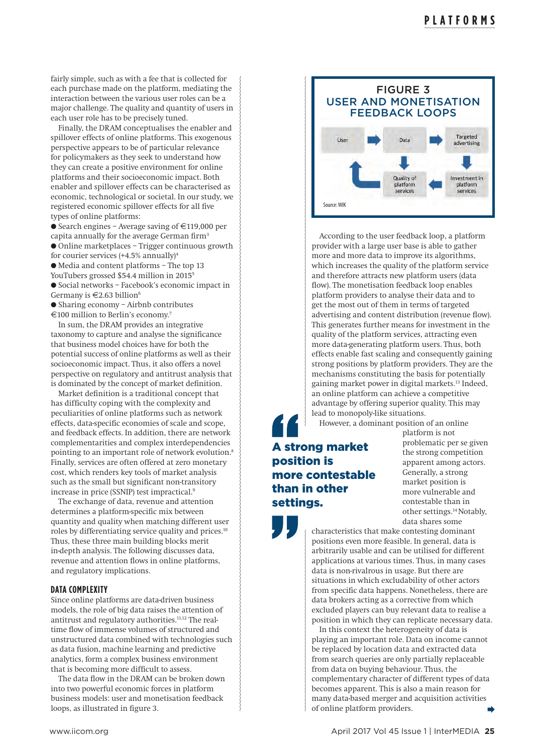fairly simple, such as with a fee that is collected for each purchase made on the platform, mediating the interaction between the various user roles can be a major challenge. The quality and quantity of users in each user role has to be precisely tuned.

Finally, the DRAM conceptualises the enabler and spillover effects of online platforms. This exogenous perspective appears to be of particular relevance for policymakers as they seek to understand how they can create a positive environment for online platforms and their socioeconomic impact. Both enabler and spillover effects can be characterised as economic, technological or societal. In our study, we registered economic spillover effects for all five types of online platforms:

 $\bullet$  Search engines – Average saving of  $\in$ 119,000 per capita annually for the average German firm<sup>3</sup> l Online marketplaces – Trigger continuous growth for courier services  $(+4.5\%$  annually $)^4$ l Media and content platforms – The top 13 YouTubers grossed \$54.4 million in 2015<sup>5</sup> l Social networks – Facebook's economic impact in

Germany is  $\in$  2.63 billion<sup>6</sup>

l Sharing economy – Airbnb contributes  $\epsilon$ 100 million to Berlin's economy.<sup>7</sup>

In sum, the DRAM provides an integrative taxonomy to capture and analyse the significance that business model choices have for both the potential success of online platforms as well as their socioeconomic impact. Thus, it also offers a novel perspective on regulatory and antitrust analysis that is dominated by the concept of market definition.

Market definition is a traditional concept that has difficulty coping with the complexity and peculiarities of online platforms such as network effects, data-specific economies of scale and scope, and feedback effects. In addition, there are network complementarities and complex interdependencies pointing to an important role of network evolution.<sup>8</sup> Finally, services are often offered at zero monetary cost, which renders key tools of market analysis such as the small but significant non-transitory increase in price (SSNIP) test impractical.9

The exchange of data, revenue and attention determines a platform-specific mix between quantity and quality when matching different user roles by differentiating service quality and prices.10 Thus, these three main building blocks merit in-depth analysis. The following discusses data, revenue and attention flows in online platforms, and regulatory implications.

# **DATA COMPLEXITY**

Since online platforms are data-driven business models, the role of big data raises the attention of antitrust and regulatory authorities.11,12 The realtime flow of immense volumes of structured and unstructured data combined with technologies such as data fusion, machine learning and predictive analytics, form a complex business environment that is becoming more difficult to assess.

The data flow in the DRAM can be broken down into two powerful economic forces in platform business models: user and monetisation feedback loops, as illustrated in figure 3.



According to the user feedback loop, a platform provider with a large user base is able to gather more and more data to improve its algorithms, which increases the quality of the platform service and therefore attracts new platform users (data flow). The monetisation feedback loop enables platform providers to analyse their data and to get the most out of them in terms of targeted advertising and content distribution (revenue flow). This generates further means for investment in the quality of the platform services, attracting even more data-generating platform users. Thus, both effects enable fast scaling and consequently gaining strong positions by platform providers. They are the mechanisms constituting the basis for potentially gaining market power in digital markets.13 Indeed, an online platform can achieve a competitive advantage by offering superior quality. This may lead to monopoly-like situations.

However, a dominant position of an online

# A strong market position is more contestable than in other settings.

platform is not problematic per se given the strong competition apparent among actors. Generally, a strong market position is more vulnerable and contestable than in other settings.14 Notably, data shares some

characteristics that make contesting dominant positions even more feasible. In general, data is arbitrarily usable and can be utilised for different applications at various times. Thus, in many cases data is non-rivalrous in usage. But there are situations in which excludability of other actors from specific data happens. Nonetheless, there are data brokers acting as a corrective from which excluded players can buy relevant data to realise a position in which they can replicate necessary data.

In this context the heterogeneity of data is playing an important role. Data on income cannot be replaced by location data and extracted data from search queries are only partially replaceable from data on buying behaviour. Thus, the complementary character of different types of data becomes apparent. This is also a main reason for many data-based merger and acquisition activities of online platform providers.